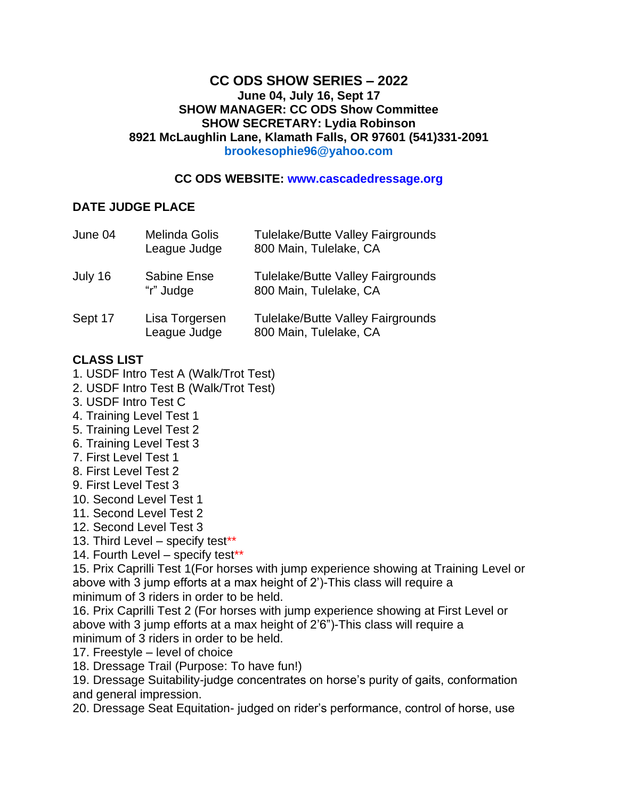#### **CC ODS SHOW SERIES – 2022 June 04, July 16, Sept 17 SHOW MANAGER: CC ODS Show Committee SHOW SECRETARY: Lydia Robinson 8921 McLaughlin Lane, Klamath Falls, OR 97601 (541)331-2091 brookesophie96@yahoo.com**

#### **CC ODS WEBSITE: www.cascadedressage.org**

### **DATE JUDGE PLACE**

| June 04 | Melinda Golis<br>League Judge   | <b>Tulelake/Butte Valley Fairgrounds</b><br>800 Main, Tulelake, CA |
|---------|---------------------------------|--------------------------------------------------------------------|
| July 16 | <b>Sabine Ense</b><br>"r" Judge | <b>Tulelake/Butte Valley Fairgrounds</b><br>800 Main, Tulelake, CA |
| Sept 17 | Lisa Torgersen<br>League Judge  | <b>Tulelake/Butte Valley Fairgrounds</b><br>800 Main, Tulelake, CA |

## **CLASS LIST**

- 1. USDF Intro Test A (Walk/Trot Test)
- 2. USDF Intro Test B (Walk/Trot Test)
- 3. USDF Intro Test C
- 4. Training Level Test 1
- 5. Training Level Test 2
- 6. Training Level Test 3
- 7. First Level Test 1
- 8. First Level Test 2
- 9. First Level Test 3
- 10. Second Level Test 1
- 11. Second Level Test 2
- 12. Second Level Test 3
- 13. Third Level specify test<sup>\*\*</sup>
- 14. Fourth Level specify test\*\*

15. Prix Caprilli Test 1(For horses with jump experience showing at Training Level or above with 3 jump efforts at a max height of 2')-This class will require a minimum of 3 riders in order to be held.

16. Prix Caprilli Test 2 (For horses with jump experience showing at First Level or above with 3 jump efforts at a max height of 2'6")-This class will require a minimum of 3 riders in order to be held.

- 17. Freestyle level of choice
- 18. Dressage Trail (Purpose: To have fun!)

19. Dressage Suitability-judge concentrates on horse's purity of gaits, conformation and general impression.

20. Dressage Seat Equitation- judged on rider's performance, control of horse, use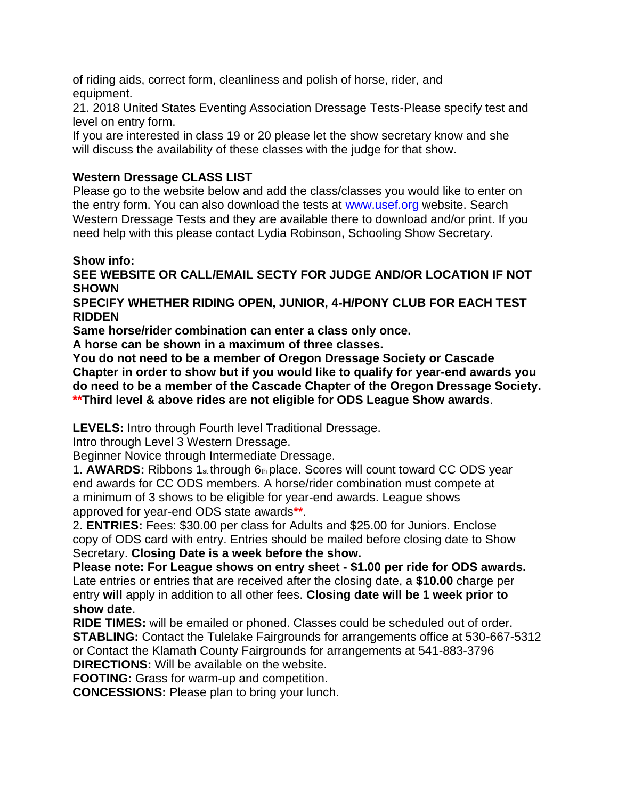of riding aids, correct form, cleanliness and polish of horse, rider, and equipment.

21. 2018 United States Eventing Association Dressage Tests-Please specify test and level on entry form.

If you are interested in class 19 or 20 please let the show secretary know and she will discuss the availability of these classes with the judge for that show.

# **Western Dressage CLASS LIST**

Please go to the website below and add the class/classes you would like to enter on the entry form. You can also download the tests at www.usef.org website. Search Western Dressage Tests and they are available there to download and/or print. If you need help with this please contact Lydia Robinson, Schooling Show Secretary.

## **Show info:**

**SEE WEBSITE OR CALL/EMAIL SECTY FOR JUDGE AND/OR LOCATION IF NOT SHOWN**

**SPECIFY WHETHER RIDING OPEN, JUNIOR, 4-H/PONY CLUB FOR EACH TEST RIDDEN**

**Same horse/rider combination can enter a class only once.**

**A horse can be shown in a maximum of three classes.**

**You do not need to be a member of Oregon Dressage Society or Cascade Chapter in order to show but if you would like to qualify for year-end awards you do need to be a member of the Cascade Chapter of the Oregon Dressage Society. \*\*Third level & above rides are not eligible for ODS League Show awards**.

**LEVELS:** Intro through Fourth level Traditional Dressage.

Intro through Level 3 Western Dressage.

Beginner Novice through Intermediate Dressage.

1. **AWARDS:** Ribbons 1st through 6th place. Scores will count toward CC ODS year end awards for CC ODS members. A horse/rider combination must compete at a minimum of 3 shows to be eligible for year-end awards. League shows approved for year-end ODS state awards**\*\***.

2. **ENTRIES:** Fees: \$30.00 per class for Adults and \$25.00 for Juniors. Enclose copy of ODS card with entry. Entries should be mailed before closing date to Show Secretary. **Closing Date is a week before the show.**

**Please note: For League shows on entry sheet - \$1.00 per ride for ODS awards.** Late entries or entries that are received after the closing date, a **\$10.00** charge per entry **will** apply in addition to all other fees. **Closing date will be 1 week prior to show date.**

**RIDE TIMES:** will be emailed or phoned. Classes could be scheduled out of order. **STABLING:** Contact the Tulelake Fairgrounds for arrangements office at 530-667-5312 or Contact the Klamath County Fairgrounds for arrangements at 541-883-3796 **DIRECTIONS:** Will be available on the website.

**FOOTING:** Grass for warm-up and competition.

**CONCESSIONS:** Please plan to bring your lunch.